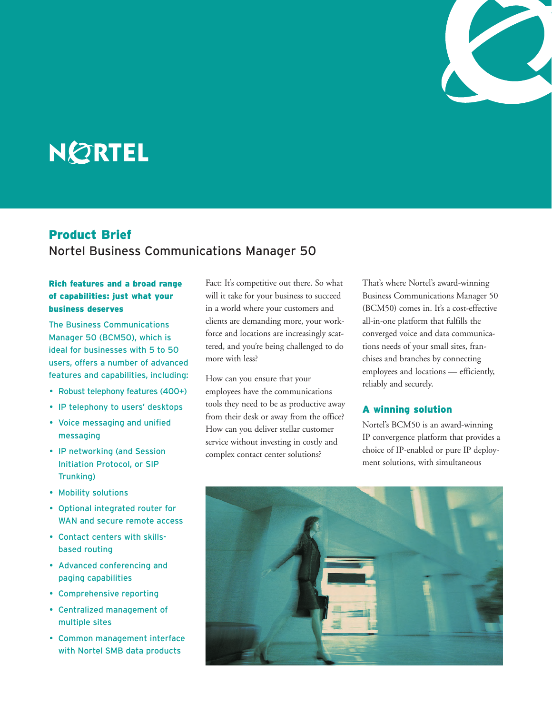

# **NØRTEL**

## Product Brief Nortel Business Communications Manager 50

## Rich features and a broad range of capabilities: just what your business deserves

The Business Communications Manager 50 (BCM50), which is ideal for businesses with 5 to 50 users, offers a number of advanced features and capabilities, including:

- Robust telephony features (400+)
- IP telephony to users' desktops
- Voice messaging and unified messaging
- IP networking (and Session Initiation Protocol, or SIP Trunking)
- Mobility solutions
- Optional integrated router for WAN and secure remote access
- Contact centers with skillsbased routing
- Advanced conferencing and paging capabilities
- Comprehensive reporting
- Centralized management of multiple sites
- Common management interface with Nortel SMB data products

Fact: It's competitive out there. So what will it take for your business to succeed in a world where your customers and clients are demanding more, your workforce and locations are increasingly scattered, and you're being challenged to do more with less?

How can you ensure that your employees have the communications tools they need to be as productive away from their desk or away from the office? How can you deliver stellar customer service without investing in costly and complex contact center solutions?

That's where Nortel's award-winning Business Communications Manager 50 (BCM50) comes in. It's a cost-effective all-in-one platform that fulfills the converged voice and data communications needs of your small sites, franchises and branches by connecting employees and locations — efficiently, reliably and securely.

## A winning solution

Nortel's BCM50 is an award-winning IP convergence platform that provides a choice of IP-enabled or pure IP deployment solutions, with simultaneous

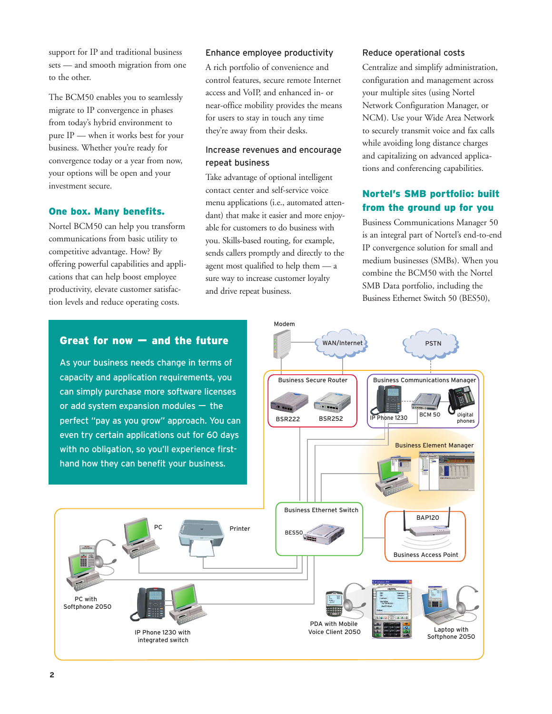support for IP and traditional business sets — and smooth migration from one to the other.

The BCM50 enables you to seamlessly migrate to IP convergence in phases from today's hybrid environment to pure IP — when it works best for your business. Whether you're ready for convergence today or a year from now, your options will be open and your investment secure.

## One box. Many benefits.

Nortel BCM50 can help you transform communications from basic utility to competitive advantage. How? By offering powerful capabilities and applications that can help boost employee productivity, elevate customer satisfaction levels and reduce operating costs.

### Enhance employee productivity

A rich portfolio of convenience and control features, secure remote Internet access and VoIP, and enhanced in- or near-office mobility provides the means for users to stay in touch any time they're away from their desks.

## Increase revenues and encourage repeat business

Take advantage of optional intelligent contact center and self-service voice menu applications (i.e., automated attendant) that make it easier and more enjoyable for customers to do business with you. Skills-based routing, for example, sends callers promptly and directly to the agent most qualified to help them — a sure way to increase customer loyalty and drive repeat business.

Modem

WAN/Internet

#### Reduce operational costs

Centralize and simplify administration, configuration and management across your multiple sites (using Nortel Network Configuration Manager, or NCM). Use your Wide Area Network to securely transmit voice and fax calls while avoiding long distance charges and capitalizing on advanced applications and conferencing capabilities.

## Nortel's SMB portfolio: built from the ground up for you

Business Communications Manager 50 is an integral part of Nortel's end-to-end IP convergence solution for small and medium businesses (SMBs). When you combine the BCM50 with the Nortel SMB Data portfolio, including the Business Ethernet Switch 50 (BES50),

PSTN

## Great for now — and the future

capacity and application requirements, you can simply purchase more software licenses or add system expansion modules — the perfect "pay as you grow" approach. You can even try certain applications out for 60 days with no obligation, so you'll experience firsthand how they can benefit your business.

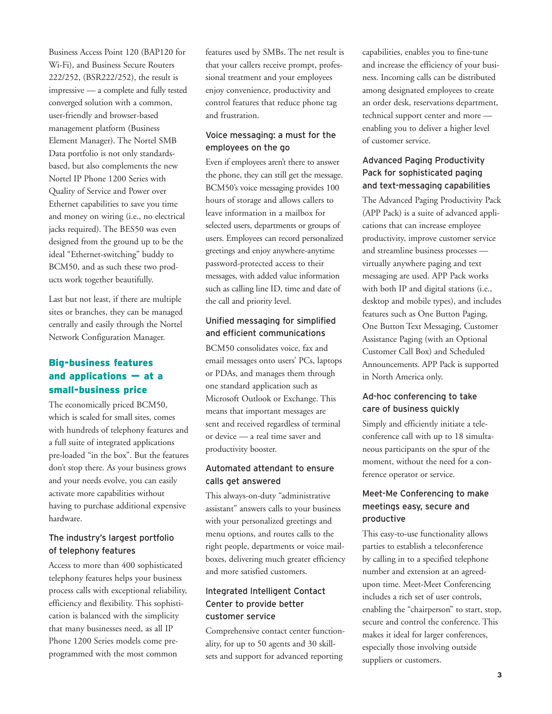Business Access Point 120 (BAP120 for Wi-Fi), and Business Secure Routers 222/252, (BSR222/252), the result is impressive — a complete and fully tested converged solution with a common, user-friendly and browser-based management platform (Business Element Manager). The Nortel SMB Data portfolio is not only standardsbased, but also complements the new Nortel IP Phone 1200 Series with Quality of Service and Power over Ethernet capabilities to save you time and money on wiring (i.e., no electrical jacks required). The BES50 was even designed from the ground up to be the ideal "Ethernet-switching" buddy to BCM50, and as such these two products work together beautifully.

Last but not least, if there are multiple sites or branches, they can be managed centrally and easily through the Nortel Network Configuration Manager.

## Big-business features and applications — at a small-business price

The economically priced BCM50, which is scaled for small sites, comes with hundreds of telephony features and a full suite of integrated applications pre-loaded "in the box". But the features don't stop there. As your business grows and your needs evolve, you can easily activate more capabilities without having to purchase additional expensive hardware.

## The industry's largest portfolio of telephony features

Access to more than 400 sophisticated telephony features helps your business process calls with exceptional reliability, efficiency and flexibility. This sophistication is balanced with the simplicity that many businesses need, as all IP Phone 1200 Series models come preprogrammed with the most common

features used by SMBs. The net result is that your callers receive prompt, professional treatment and your employees enjoy convenience, productivity and control features that reduce phone tag and frustration.

## Voice messaging: a must for the employees on the go

Even if employees aren't there to answer the phone, they can still get the message. BCM50's voice messaging provides 100 hours of storage and allows callers to leave information in a mailbox for selected users, departments or groups of users. Employees can record personalized greetings and enjoy anywhere-anytime password-protected access to their messages, with added value information such as calling line ID, time and date of the call and priority level.

## Unified messaging for simplified and efficient communications

BCM50 consolidates voice, fax and email messages onto users' PCs, laptops or PDAs, and manages them through one standard application such as Microsoft Outlook or Exchange. This means that important messages are sent and received regardless of terminal or device — a real time saver and productivity booster.

## Automated attendant to ensure calls get answered

This always-on-duty "administrative assistant" answers calls to your business with your personalized greetings and menu options, and routes calls to the right people, departments or voice mailboxes, delivering much greater efficiency and more satisfied customers.

## Integrated Intelligent Contact Center to provide better customer service

Comprehensive contact center functionality, for up to 50 agents and 30 skillsets and support for advanced reporting

capabilities, enables you to fine-tune and increase the efficiency of your business. Incoming calls can be distributed among designated employees to create an order desk, reservations department, technical support center and more enabling you to deliver a higher level of customer service.

## Advanced Paging Productivity Pack for sophisticated paging and text-messaging capabilities

The Advanced Paging Productivity Pack (APP Pack) is a suite of advanced applications that can increase employee productivity, improve customer service and streamline business processes virtually anywhere paging and text messaging are used. APP Pack works with both IP and digital stations (i.e., desktop and mobile types), and includes features such as One Button Paging, One Button Text Messaging, Customer Assistance Paging (with an Optional Customer Call Box) and Scheduled Announcements. APP Pack is supported in North America only.

## Ad-hoc conferencing to take care of business quickly

Simply and efficiently initiate a teleconference call with up to 18 simultaneous participants on the spur of the moment, without the need for a conference operator or service.

## Meet-Me Conferencing to make meetings easy, secure and productive

This easy-to-use functionality allows parties to establish a teleconference by calling in to a specified telephone number and extension at an agreedupon time. Meet-Meet Conferencing includes a rich set of user controls, enabling the "chairperson" to start, stop, secure and control the conference. This makes it ideal for larger conferences, especially those involving outside suppliers or customers.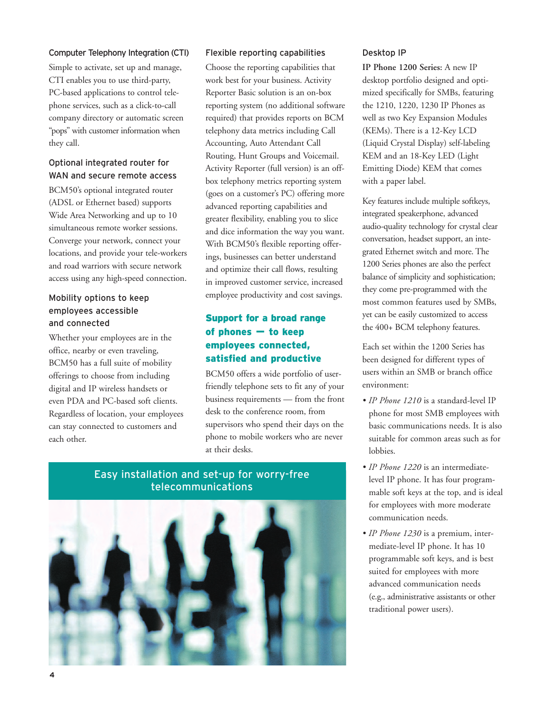#### Computer Telephony Integration (CTI)

Simple to activate, set up and manage, CTI enables you to use third-party, PC-based applications to control telephone services, such as a click-to-call company directory or automatic screen "pops" with customer information when they call.

## Optional integrated router for WAN and secure remote access

BCM50's optional integrated router (ADSL or Ethernet based) supports Wide Area Networking and up to 10 simultaneous remote worker sessions. Converge your network, connect your locations, and provide your tele-workers and road warriors with secure network access using any high-speed connection.

## Mobility options to keep employees accessible and connected

Whether your employees are in the office, nearby or even traveling, BCM50 has a full suite of mobility offerings to choose from including digital and IP wireless handsets or even PDA and PC-based soft clients. Regardless of location, your employees can stay connected to customers and each other.

#### Flexible reporting capabilities

Choose the reporting capabilities that work best for your business. Activity Reporter Basic solution is an on-box reporting system (no additional software required) that provides reports on BCM telephony data metrics including Call Accounting, Auto Attendant Call Routing, Hunt Groups and Voicemail. Activity Reporter (full version) is an offbox telephony metrics reporting system (goes on a customer's PC) offering more advanced reporting capabilities and greater flexibility, enabling you to slice and dice information the way you want. With BCM50's flexible reporting offerings, businesses can better understand and optimize their call flows, resulting in improved customer service, increased employee productivity and cost savings.

## Support for a broad range of phones — to keep employees connected, satisfied and productive

BCM50 offers a wide portfolio of userfriendly telephone sets to fit any of your business requirements — from the front desk to the conference room, from supervisors who spend their days on the phone to mobile workers who are never at their desks.

Easy installation and set-up for worry-free telecommunications

## Desktop IP

**IP Phone 1200 Series:** A new IP desktop portfolio designed and optimized specifically for SMBs, featuring the 1210, 1220, 1230 IP Phones as well as two Key Expansion Modules (KEMs). There is a 12-Key LCD (Liquid Crystal Display) self-labeling KEM and an 18-Key LED (Light Emitting Diode) KEM that comes with a paper label.

Key features include multiple softkeys, integrated speakerphone, advanced audio-quality technology for crystal clear conversation, headset support, an integrated Ethernet switch and more. The 1200 Series phones are also the perfect balance of simplicity and sophistication; they come pre-programmed with the most common features used by SMBs, yet can be easily customized to access the 400+ BCM telephony features.

Each set within the 1200 Series has been designed for different types of users within an SMB or branch office environment:

- *IP Phone 1210* is a standard-level IP phone for most SMB employees with basic communications needs. It is also suitable for common areas such as for lobbies.
- *IP Phone 1220* is an intermediatelevel IP phone. It has four programmable soft keys at the top, and is ideal for employees with more moderate communication needs.
- *IP Phone 1230* is a premium, intermediate-level IP phone. It has 10 programmable soft keys, and is best suited for employees with more advanced communication needs (e.g., administrative assistants or other traditional power users).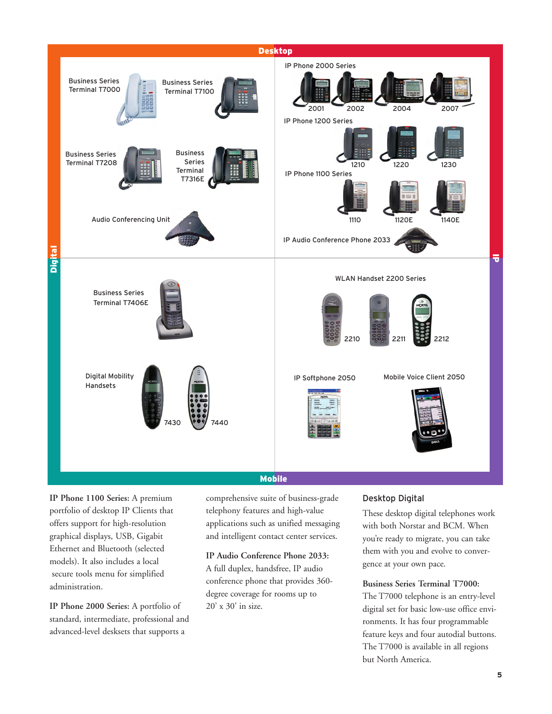

Mobile

**IP Phone 1100 Series:** A premium portfolio of desktop IP Clients that offers support for high-resolution graphical displays, USB, Gigabit Ethernet and Bluetooth (selected models). It also includes a local secure tools menu for simplified administration.

**IP Phone 2000 Series:** A portfolio of standard, intermediate, professional and advanced-level desksets that supports a

comprehensive suite of business-grade telephony features and high-value applications such as unified messaging and intelligent contact center services.

## **IP Audio Conference Phone 2033:**

A full duplex, handsfree, IP audio conference phone that provides 360 degree coverage for rooms up to 20' x 30' in size.

## Desktop Digital

These desktop digital telephones work with both Norstar and BCM. When you're ready to migrate, you can take them with you and evolve to convergence at your own pace.

## **Business Series Terminal T7000:**

The T7000 telephone is an entry-level digital set for basic low-use office environments. It has four programmable feature keys and four autodial buttons. The T7000 is available in all regions but North America.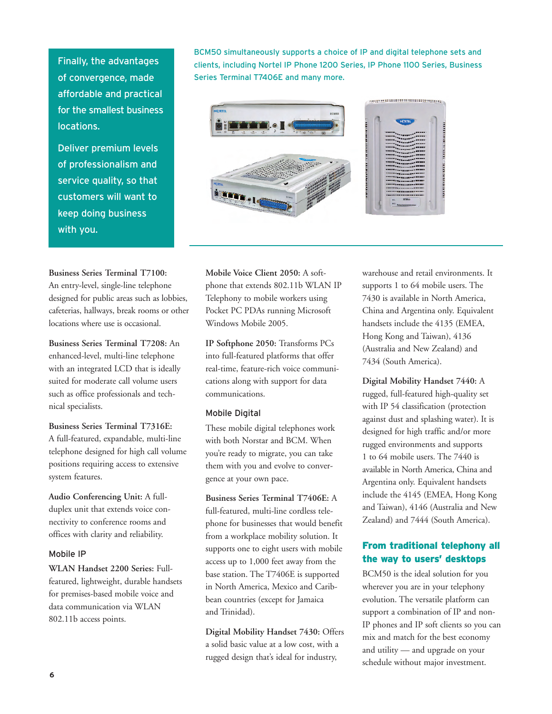Finally, the advantages of convergence, made affordable and practical for the smallest business locations.

Deliver premium levels of professionalism and service quality, so that customers will want to keep doing business with you.

## **Business Series Terminal T7100:**

An entry-level, single-line telephone designed for public areas such as lobbies, cafeterias, hallways, break rooms or other locations where use is occasional.

**Business Series Terminal T7208:** An enhanced-level, multi-line telephone with an integrated LCD that is ideally suited for moderate call volume users such as office professionals and technical specialists.

**Business Series Terminal T7316E:** A full-featured, expandable, multi-line telephone designed for high call volume positions requiring access to extensive system features.

**Audio Conferencing Unit:** A fullduplex unit that extends voice connectivity to conference rooms and offices with clarity and reliability.

#### Mobile IP

**WLAN Handset 2200 Series:** Fullfeatured, lightweight, durable handsets for premises-based mobile voice and data communication via WLAN 802.11b access points.

BCM50 simultaneously supports a choice of IP and digital telephone sets and clients, including Nortel IP Phone 1200 Series, IP Phone 1100 Series, Business Series Terminal T7406E and many more.



**Mobile Voice Client 2050:** A softphone that extends 802.11b WLAN IP Telephony to mobile workers using Pocket PC PDAs running Microsoft Windows Mobile 2005.

**IP Softphone 2050:** Transforms PCs into full-featured platforms that offer real-time, feature-rich voice communications along with support for data communications.

#### Mobile Digital

These mobile digital telephones work with both Norstar and BCM. When you're ready to migrate, you can take them with you and evolve to convergence at your own pace.

**Business Series Terminal T7406E:** A full-featured, multi-line cordless telephone for businesses that would benefit from a workplace mobility solution. It supports one to eight users with mobile access up to 1,000 feet away from the base station. The T7406E is supported in North America, Mexico and Caribbean countries (except for Jamaica and Trinidad).

**Digital Mobility Handset 7430:** Offers a solid basic value at a low cost, with a rugged design that's ideal for industry,

warehouse and retail environments. It supports 1 to 64 mobile users. The 7430 is available in North America, China and Argentina only. Equivalent handsets include the 4135 (EMEA, Hong Kong and Taiwan), 4136 (Australia and New Zealand) and 7434 (South America).

**Digital Mobility Handset 7440:** A rugged, full-featured high-quality set with IP 54 classification (protection against dust and splashing water). It is designed for high traffic and/or more rugged environments and supports 1 to 64 mobile users. The 7440 is available in North America, China and Argentina only. Equivalent handsets include the 4145 (EMEA, Hong Kong and Taiwan), 4146 (Australia and New Zealand) and 7444 (South America).

## From traditional telephony all the way to users' desktops

BCM50 is the ideal solution for you wherever you are in your telephony evolution. The versatile platform can support a combination of IP and non-IP phones and IP soft clients so you can mix and match for the best economy and utility — and upgrade on your schedule without major investment.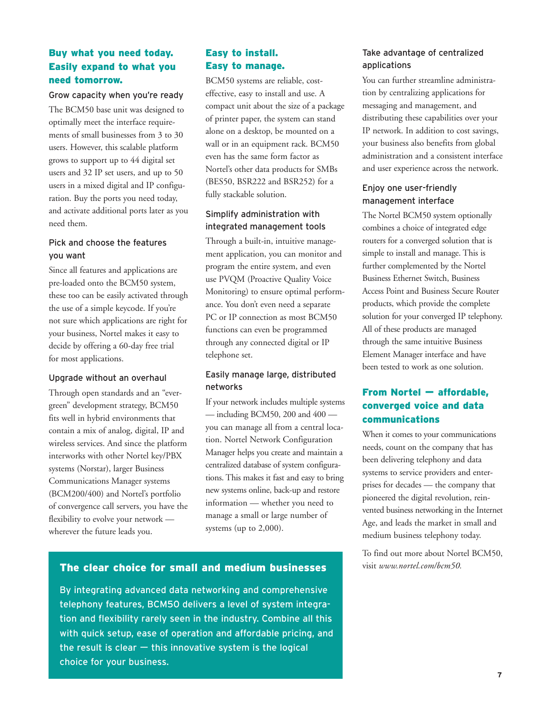## Buy what you need today. Easily expand to what you need tomorrow.

#### Grow capacity when you're ready

The BCM50 base unit was designed to optimally meet the interface requirements of small businesses from 3 to 30 users. However, this scalable platform grows to support up to 44 digital set users and 32 IP set users, and up to 50 users in a mixed digital and IP configuration. Buy the ports you need today, and activate additional ports later as you need them.

## Pick and choose the features you want

Since all features and applications are pre-loaded onto the BCM50 system, these too can be easily activated through the use of a simple keycode. If you're not sure which applications are right for your business, Nortel makes it easy to decide by offering a 60-day free trial for most applications.

#### Upgrade without an overhaul

Through open standards and an "evergreen" development strategy, BCM50 fits well in hybrid environments that contain a mix of analog, digital, IP and wireless services. And since the platform interworks with other Nortel key/PBX systems (Norstar), larger Business Communications Manager systems (BCM200/400) and Nortel's portfolio of convergence call servers, you have the flexibility to evolve your network wherever the future leads you.

## Easy to install. Easy to manage.

BCM50 systems are reliable, costeffective, easy to install and use. A compact unit about the size of a package of printer paper, the system can stand alone on a desktop, be mounted on a wall or in an equipment rack. BCM50 even has the same form factor as Nortel's other data products for SMBs (BES50, BSR222 and BSR252) for a fully stackable solution.

## Simplify administration with integrated management tools

Through a built-in, intuitive management application, you can monitor and program the entire system, and even use PVQM (Proactive Quality Voice Monitoring) to ensure optimal performance. You don't even need a separate PC or IP connection as most BCM50 functions can even be programmed through any connected digital or IP telephone set.

## Easily manage large, distributed networks

If your network includes multiple systems — including BCM50, 200 and 400 you can manage all from a central location. Nortel Network Configuration Manager helps you create and maintain a centralized database of system configurations. This makes it fast and easy to bring new systems online, back-up and restore information — whether you need to manage a small or large number of systems (up to 2,000).

## The clear choice for small and medium businesses visit *www.nortel.com/bcm50.*

By integrating advanced data networking and comprehensive telephony features, BCM50 delivers a level of system integration and flexibility rarely seen in the industry. Combine all this with quick setup, ease of operation and affordable pricing, and the result is clear  $-$  this innovative system is the logical choice for your business.

## Take advantage of centralized applications

You can further streamline administration by centralizing applications for messaging and management, and distributing these capabilities over your IP network. In addition to cost savings, your business also benefits from global administration and a consistent interface and user experience across the network.

## Enjoy one user-friendly management interface

The Nortel BCM50 system optionally combines a choice of integrated edge routers for a converged solution that is simple to install and manage. This is further complemented by the Nortel Business Ethernet Switch, Business Access Point and Business Secure Router products, which provide the complete solution for your converged IP telephony. All of these products are managed through the same intuitive Business Element Manager interface and have been tested to work as one solution.

## From Nortel — affordable, converged voice and data communications

When it comes to your communications needs, count on the company that has been delivering telephony and data systems to service providers and enterprises for decades — the company that pioneered the digital revolution, reinvented business networking in the Internet Age, and leads the market in small and medium business telephony today.

To find out more about Nortel BCM50,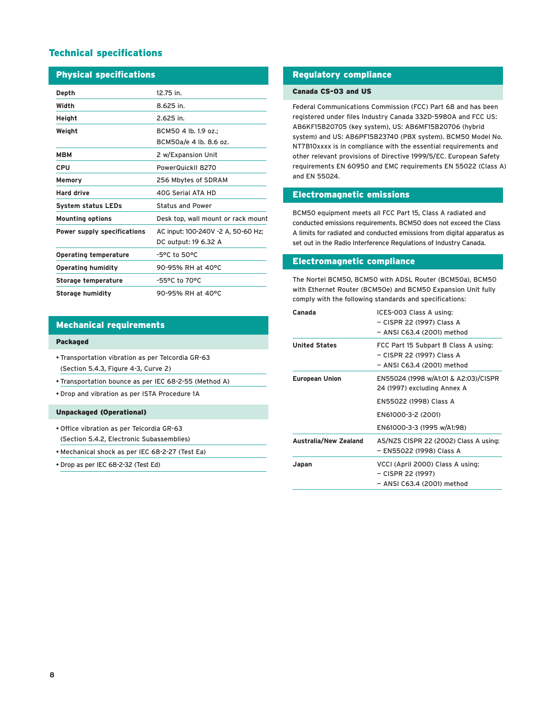## Technical specifications

| <b>Physical specifications</b>     |                                    |  |
|------------------------------------|------------------------------------|--|
| Depth                              | 12.75 in.                          |  |
| Width                              | 8.625 in.                          |  |
| Height                             | 2.625 in.                          |  |
| Weight                             | BCM50 4 lb. 1.9 oz.:               |  |
|                                    | BCM50a/e 4 lb. 8.6 oz.             |  |
| мвм                                | 2 w/Expansion Unit                 |  |
| CPU                                | PowerQuickII 8270                  |  |
| Memory                             | 256 Mbytes of SDRAM                |  |
| <b>Hard drive</b>                  | 40G Serial ATA HD                  |  |
| <b>System status LEDs</b>          | <b>Status and Power</b>            |  |
| <b>Mounting options</b>            | Desk top, wall mount or rack mount |  |
| <b>Power supply specifications</b> | AC input: 100-240V -2 A, 50-60 Hz; |  |
|                                    | DC output: 19 6.32 A               |  |
| <b>Operating temperature</b>       | -5°C to 50°C                       |  |
| <b>Operating humidity</b>          | 90-95% RH at 40°C                  |  |
| <b>Storage temperature</b>         | -55°C to 70°C                      |  |
| <b>Storage humidity</b>            | 90-95% RH at 40°C                  |  |

#### Mechanical requirements

#### Packaged

- Transportation vibration as per Telcordia GR-63 (Section 5.4.3, Figure 4-3, Curve 2)
- Transportation bounce as per IEC 68-2-55 (Method A)
- Drop and vibration as per ISTA Procedure 1A

#### Unpackaged (Operational)

- Office vibration as per Telcordia GR-63 (Section 5.4.2, Electronic Subassemblies)
- Mechanical shock as per IEC 68-2-27 (Test Ea)
- Drop as per IEC 68-2-32 (Test Ed)

#### Regulatory compliance

#### Canada CS-03 and US

Federal Communications Commission (FCC) Part 68 and has been registered under files Industry Canada 332D-5980A and FCC US: AB6KF15B20705 (key system), US: AB6MF15B20706 (hybrid system) and US: AB6PF15B23740 (PBX system). BCM50 Model No. NT7B10xxxx is in compliance with the essential requirements and other relevant provisions of Directive 1999/5/EC. European Safety requirements EN 60950 and EMC requirements EN 55022 (Class A) and EN 55024.

#### Electromagnetic emissions

BCM50 equipment meets all FCC Part 15, Class A radiated and conducted emissions requirements. BCM50 does not exceed the Class A limits for radiated and conducted emissions from digital apparatus as set out in the Radio Interference Regulations of Industry Canada.

#### Electromagnetic compliance

The Nortel BCM50, BCM50 with ADSL Router (BCM50a), BCM50 with Ethernet Router (BCM50e) and BCM50 Expansion Unit fully comply with the following standards and specifications:

| Canada                       | ICES-003 Class A using:<br>– CISPR 22 (1997) Class A<br>– ANSI C63.4 (2001) method              |
|------------------------------|-------------------------------------------------------------------------------------------------|
| <b>United States</b>         | FCC Part 15 Subpart B Class A using:<br>– CISPR 22 (1997) Class A<br>– ANSI C63.4 (2001) method |
| <b>European Union</b>        | EN55024 (1998 w/A1:01 & A2:03)/CISPR<br>24 (1997) excluding Annex A                             |
|                              | EN55022 (1998) Class A                                                                          |
|                              | EN61000-3-2 (2001)                                                                              |
|                              | EN61000-3-3 (1995 w/A1:98)                                                                      |
| <b>Australia/New Zealand</b> | AS/NZS CISPR 22 (2002) Class A using:<br>– EN55022 (1998) Class A                               |
| Japan                        | VCCI (April 2000) Class A using:<br>- CISPR 22 (1997)<br>- ANSI C63.4 (2001) method             |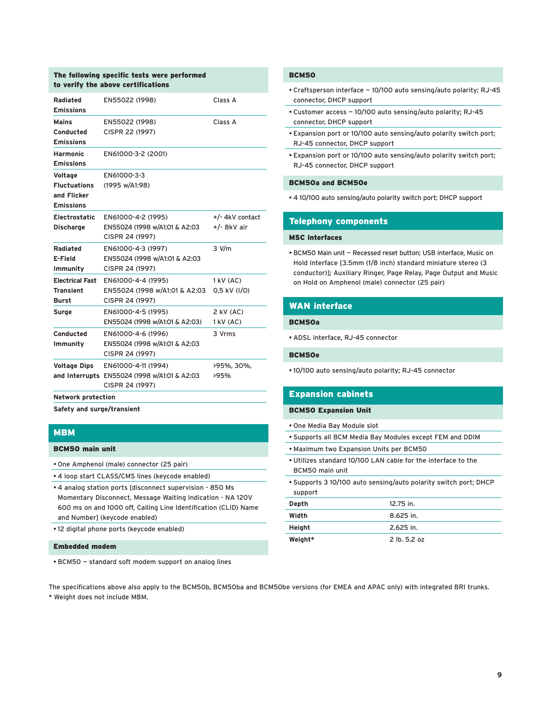#### The following specific tests were performed to verify the above certifications

| Radiated<br><b>Emissions</b>                                      | EN55022 (1998)                                                                         | Class A                          |
|-------------------------------------------------------------------|----------------------------------------------------------------------------------------|----------------------------------|
| <b>Mains</b><br>Conducted<br><b>Emissions</b>                     | EN55022 (1998)<br>CISPR 22 (1997)                                                      | Class A                          |
| <b>Harmonic</b><br><b>Emissions</b>                               | EN61000-3-2 (2001)                                                                     |                                  |
| Voltage<br><b>Fluctuations</b><br>and Flicker<br><b>Emissions</b> | EN61000-3-3<br>(1995 w/A1:98)                                                          |                                  |
| <b>Electrostatic</b><br><b>Discharge</b>                          | EN61000-4-2 (1995)<br>EN55024 (1998 w/A1:01 & A2:03<br>CISPR 24 (1997)                 | +/- 4kV contact<br>$+/-$ 8kV air |
| Radiated<br>E-Field<br>Immunity                                   | EN61000-4-3 (1997)<br>EN55024 (1998 w/A1:01 & A2:03<br>CISPR 24 (1997)                 | $3$ V/m                          |
| <b>Electrical Fast</b><br><b>Transient</b><br><b>Burst</b>        | EN61000-4-4 (1995)<br>EN55024 (1998 w/A1:01 & A2:03<br>CISPR 24 (1997)                 | $1$ kV $(AC)$<br>0.5 kV (I/O)    |
| Surge                                                             | EN61000-4-5 (1995)<br>EN55024 (1998 w/A1:01 & A2:03)                                   | $2$ kV (AC)<br>1 kV (AC)         |
| Conducted<br>Immunity                                             | EN61000-4-6 (1996)<br>EN55024 (1998 w/A1:01 & A2:03<br>CISPR 24 (1997)                 | 3 Vrms                           |
| <b>Voltage Dips</b>                                               | EN61000-4-11 (1994)<br>and Interrupts EN55024 (1998 w/A1:01 & A2:03<br>CISPR 24 (1997) | >95%, 30%,<br>>95%               |

**Network protection**

**Safety and surge/transient** 

## MBM

#### BCM50 main unit

- One Amphenol (male) connector (25 pair)
- 4 loop start CLASS/CMS lines (keycode enabled)
- 4 analog station ports [disconnect supervision 850 Ms Momentary Disconnect, Message Waiting Indication - NA 120V 600 ms on and 1000 off, Calling Line Identification (CLID) Name and Number] (keycode enabled)
- 12 digital phone ports (keycode enabled)

#### Embedded modem

• BCM50 — standard soft modem support on analog lines

#### **BCM50**

- Craftsperson interface 10/100 auto sensing/auto polarity; RJ-45 connector, DHCP support
- Customer access 10/100 auto sensing/auto polarity; RJ-45 connector, DHCP support
- Expansion port or 10/100 auto sensing/auto polarity switch port; RJ-45 connector, DHCP support
- Expansion port or 10/100 auto sensing/auto polarity switch port; RJ-45 connector, DHCP support

#### BCM50a and BCM50e

• 4 10/100 auto sensing/auto polarity switch port; DHCP support

#### Telephony components

#### MSC interfaces

• BCM50 Main unit — Recessed reset button; USB interface, Music on Hold Interface [3.5mm (1/8 inch) standard miniature stereo (3 conductor)]; Auxiliary Ringer, Page Relay, Page Output and Music on Hold on Amphenol (male) connector (25 pair)

#### WAN interface

#### BCM50a

• ADSL interface, RJ-45 connector

#### BCM50e

• 10/100 auto sensing/auto polarity; RJ-45 connector

#### Expansion cabinets

#### BCM50 Expansion Unit

- One Media Bay Module slot
- Supports all BCM Media Bay Modules except FEM and DDIM
- Maximum two Expansion Units per BCM50
- Utilizes standard 10/100 LAN cable for the interface to the BCM50 main unit
- Supports 3 10/100 auto sensing/auto polarity switch port; DHCP support

| Depth   | 12.75 in.    |
|---------|--------------|
| Width   | $8.625$ in.  |
| Height  | 2.625 in.    |
| Weight* | 2 lb. 5.2 oz |

The specifications above also apply to the BCM50b, BCM50ba and BCM50be versions (for EMEA and APAC only) with integrated BRI trunks. \* Weight does not include MBM.